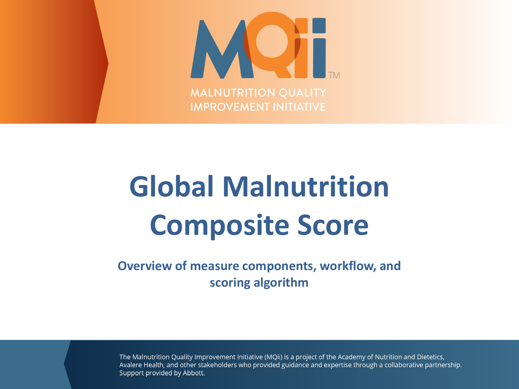

# Giobal Mainutrition **Composite score Global Malnutrition Composite Score**

#### **And The Subtitue Components, worknow, and School Control Control Control Control Control Control Control Control Control Control Control Control Control Control Control Control Control Control Control Control Control Cont Appear with More Info Overview of measure components, workflow, and scoring algorithm**

The Malnutrition Quality Improvement Initiative (MQii) is a project of the Academy of Nutrition and Dietetics, Avalere Health, and other stakeholders who provided guidance and expertise through a collaborative partnership. Support provided by Abbott.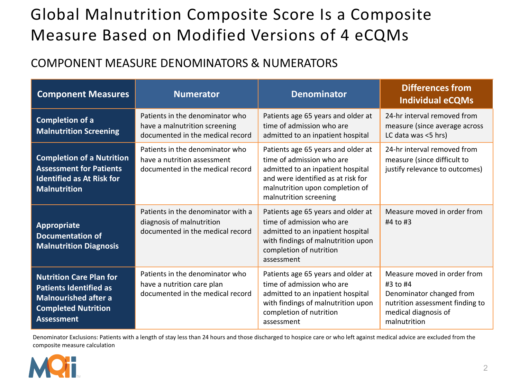# Global Malnutrition Composite Score Is a Composite Measure Based on Modified Versions of 4 eCQMs

#### COMPONENT MEASURE DENOMINATORS & NUMERATORS

| <b>Component Measures</b>                                                                                                                         | <b>Numerator</b>                                                                                     | <b>Denominator</b>                                                                                                                                                                                      | <b>Differences from</b><br><b>Individual eCQMs</b>                                                                                                 |
|---------------------------------------------------------------------------------------------------------------------------------------------------|------------------------------------------------------------------------------------------------------|---------------------------------------------------------------------------------------------------------------------------------------------------------------------------------------------------------|----------------------------------------------------------------------------------------------------------------------------------------------------|
| <b>Completion of a</b><br><b>Malnutrition Screening</b>                                                                                           | Patients in the denominator who<br>have a malnutrition screening<br>documented in the medical record | Patients age 65 years and older at<br>time of admission who are<br>admitted to an inpatient hospital                                                                                                    | 24-hr interval removed from<br>measure (since average across<br>LC data was <5 hrs)                                                                |
| <b>Completion of a Nutrition</b><br><b>Assessment for Patients</b><br><b>Identified as At Risk for</b><br><b>Malnutrition</b>                     | Patients in the denominator who<br>have a nutrition assessment<br>documented in the medical record   | Patients age 65 years and older at<br>time of admission who are<br>admitted to an inpatient hospital<br>and were identified as at risk for<br>malnutrition upon completion of<br>malnutrition screening | 24-hr interval removed from<br>measure (since difficult to<br>justify relevance to outcomes)                                                       |
| Appropriate<br><b>Documentation of</b><br><b>Malnutrition Diagnosis</b>                                                                           | Patients in the denominator with a<br>diagnosis of malnutrition<br>documented in the medical record  | Patients age 65 years and older at<br>time of admission who are<br>admitted to an inpatient hospital<br>with findings of malnutrition upon<br>completion of nutrition<br>assessment                     | Measure moved in order from<br>#4 to #3                                                                                                            |
| <b>Nutrition Care Plan for</b><br><b>Patients Identified as</b><br><b>Malnourished after a</b><br><b>Completed Nutrition</b><br><b>Assessment</b> | Patients in the denominator who<br>have a nutrition care plan<br>documented in the medical record    | Patients age 65 years and older at<br>time of admission who are<br>admitted to an inpatient hospital<br>with findings of malnutrition upon<br>completion of nutrition<br>assessment                     | Measure moved in order from<br>$#3$ to $#4$<br>Denominator changed from<br>nutrition assessment finding to<br>medical diagnosis of<br>malnutrition |

Denominator Exclusions: Patients with a length of stay less than 24 hours and those discharged to hospice care or who left against medical advice are excluded from the composite measure calculation

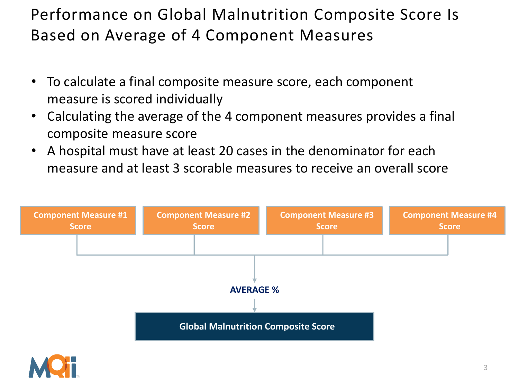Performance on Global Malnutrition Composite Score Is Based on Average of 4 Component Measures

- To calculate a final composite measure score, each component measure is scored individually
- Calculating the average of the 4 component measures provides a final composite measure score
- A hospital must have at least 20 cases in the denominator for each measure and at least 3 scorable measures to receive an overall score